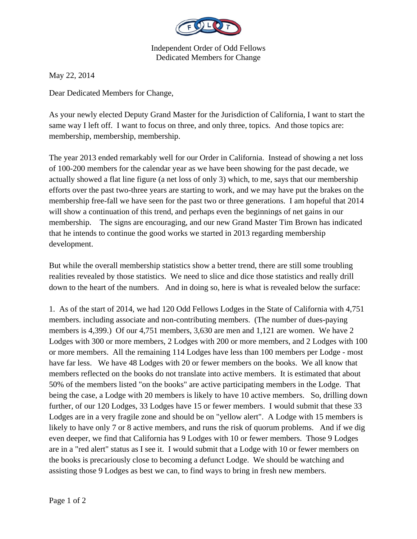

Independent Order of Odd Fellows Dedicated Members for Change

May 22, 2014

Dear Dedicated Members for Change,

As your newly elected Deputy Grand Master for the Jurisdiction of California, I want to start the same way I left off. I want to focus on three, and only three, topics. And those topics are: membership, membership, membership.

The year 2013 ended remarkably well for our Order in California. Instead of showing a net loss of 100-200 members for the calendar year as we have been showing for the past decade, we actually showed a flat line figure (a net loss of only 3) which, to me, says that our membership efforts over the past two-three years are starting to work, and we may have put the brakes on the membership free-fall we have seen for the past two or three generations. I am hopeful that 2014 will show a continuation of this trend, and perhaps even the beginnings of net gains in our membership. The signs are encouraging, and our new Grand Master Tim Brown has indicated that he intends to continue the good works we started in 2013 regarding membership development.

But while the overall membership statistics show a better trend, there are still some troubling realities revealed by those statistics. We need to slice and dice those statistics and really drill down to the heart of the numbers. And in doing so, here is what is revealed below the surface:

1. As of the start of 2014, we had 120 Odd Fellows Lodges in the State of California with 4,751 members. including associate and non-contributing members. (The number of dues-paying members is 4,399.) Of our 4,751 members, 3,630 are men and 1,121 are women. We have 2 Lodges with 300 or more members, 2 Lodges with 200 or more members, and 2 Lodges with 100 or more members. All the remaining 114 Lodges have less than 100 members per Lodge - most have far less. We have 48 Lodges with 20 or fewer members on the books. We all know that members reflected on the books do not translate into active members. It is estimated that about 50% of the members listed "on the books" are active participating members in the Lodge. That being the case, a Lodge with 20 members is likely to have 10 active members. So, drilling down further, of our 120 Lodges, 33 Lodges have 15 or fewer members. I would submit that these 33 Lodges are in a very fragile zone and should be on "yellow alert". A Lodge with 15 members is likely to have only 7 or 8 active members, and runs the risk of quorum problems. And if we dig even deeper, we find that California has 9 Lodges with 10 or fewer members. Those 9 Lodges are in a "red alert" status as I see it. I would submit that a Lodge with 10 or fewer members on the books is precariously close to becoming a defunct Lodge. We should be watching and assisting those 9 Lodges as best we can, to find ways to bring in fresh new members.